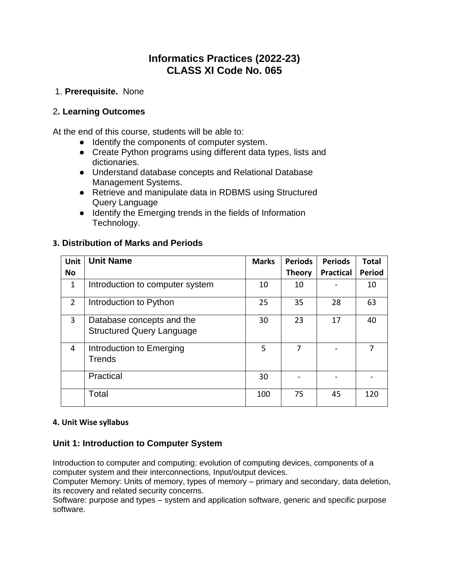# **Informatics Practices (2022-23) CLASS XI Code No. 065**

## 1. **Prerequisite.** None

## 2**. Learning Outcomes**

At the end of this course, students will be able to:

- Identify the components of computer system.
- Create Python programs using different data types, lists and dictionaries.
- Understand database concepts and Relational Database Management Systems.
- Retrieve and manipulate data in RDBMS using Structured Query Language
- Identify the Emerging trends in the fields of Information Technology.

## **3. Distribution of Marks and Periods**

| <b>Unit</b>    | <b>Unit Name</b>                                              | <b>Marks</b> | <b>Periods</b> | <b>Periods</b>   | <b>Total</b>  |
|----------------|---------------------------------------------------------------|--------------|----------------|------------------|---------------|
| <b>No</b>      |                                                               |              | <b>Theory</b>  | <b>Practical</b> | <b>Period</b> |
| 1              | Introduction to computer system                               | 10           | 10             |                  | 10            |
| $\overline{2}$ | Introduction to Python                                        | 25           | 35             | 28               | 63            |
| 3              | Database concepts and the<br><b>Structured Query Language</b> | 30           | 23             | 17               | 40            |
| 4              | Introduction to Emerging<br><b>Trends</b>                     | 5            | 7              |                  | 7             |
|                | Practical                                                     | 30           |                |                  |               |
|                | Total                                                         | 100          | 75             | 45               | 120           |

#### **4. Unit Wise syllabus**

# **Unit 1: Introduction to Computer System**

Introduction to computer and computing: evolution of computing devices, components of a computer system and their interconnections, Input/output devices.

Computer Memory: Units of memory, types of memory – primary and secondary, data deletion, its recovery and related security concerns.

Software: purpose and types – system and application software, generic and specific purpose software.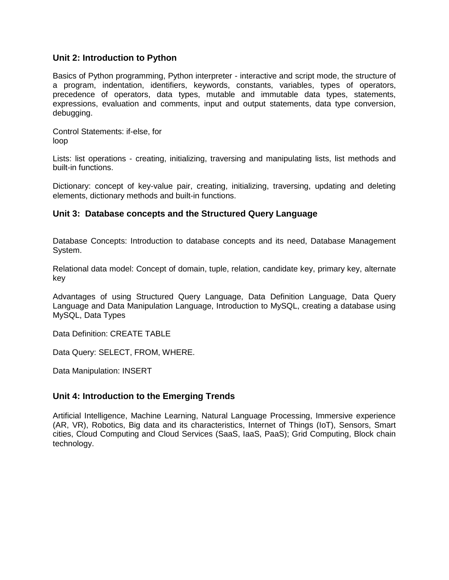#### **Unit 2: Introduction to Python**

Basics of Python programming, Python interpreter - interactive and script mode, the structure of a program, indentation, identifiers, keywords, constants, variables, types of operators, precedence of operators, data types, mutable and immutable data types, statements, expressions, evaluation and comments, input and output statements, data type conversion, debugging.

Control Statements: if-else, for loop

Lists: list operations - creating, initializing, traversing and manipulating lists, list methods and built-in functions.

Dictionary: concept of key-value pair, creating, initializing, traversing, updating and deleting elements, dictionary methods and built-in functions.

#### **Unit 3: Database concepts and the Structured Query Language**

Database Concepts: Introduction to database concepts and its need, Database Management System.

Relational data model: Concept of domain, tuple, relation, candidate key, primary key, alternate key

Advantages of using Structured Query Language, Data Definition Language, Data Query Language and Data Manipulation Language, Introduction to MySQL, creating a database using MySQL, Data Types

Data Definition: CREATE TABLE

Data Query: SELECT, FROM, WHERE.

Data Manipulation: INSERT

## **Unit 4: Introduction to the Emerging Trends**

Artificial Intelligence, Machine Learning, Natural Language Processing, Immersive experience (AR, VR), Robotics, Big data and its characteristics, Internet of Things (IoT), Sensors, Smart cities, Cloud Computing and Cloud Services (SaaS, IaaS, PaaS); Grid Computing, Block chain technology.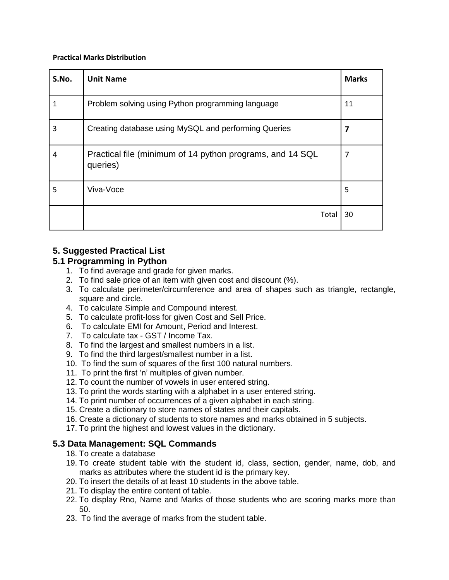#### **Practical Marks Distribution**

| S.No. | <b>Unit Name</b>                                                      | <b>Marks</b> |
|-------|-----------------------------------------------------------------------|--------------|
| 1     | Problem solving using Python programming language                     | 11           |
| 3     | Creating database using MySQL and performing Queries                  | 7            |
| 4     | Practical file (minimum of 14 python programs, and 14 SQL<br>queries) | 7            |
| 5     | Viva-Voce                                                             | 5            |
|       | Total                                                                 | 30           |

# **5. Suggested Practical List**

## **5.1 Programming in Python**

- 1. To find average and grade for given marks.
- 2. To find sale price of an item with given cost and discount (%).
- 3. To calculate perimeter/circumference and area of shapes such as triangle, rectangle, square and circle.
- 4. To calculate Simple and Compound interest.
- 5. To calculate profit-loss for given Cost and Sell Price.
- 6. To calculate EMI for Amount, Period and Interest.
- 7. To calculate tax GST / Income Tax.
- 8. To find the largest and smallest numbers in a list.
- 9. To find the third largest/smallest number in a list.
- 10. To find the sum of squares of the first 100 natural numbers.
- 11. To print the first 'n' multiples of given number.
- 12. To count the number of vowels in user entered string.
- 13. To print the words starting with a alphabet in a user entered string.
- 14. To print number of occurrences of a given alphabet in each string.
- 15. Create a dictionary to store names of states and their capitals.
- 16. Create a dictionary of students to store names and marks obtained in 5 subjects.
- 17. To print the highest and lowest values in the dictionary.

## **5.3 Data Management: SQL Commands**

- 18. To create a database
- 19. To create student table with the student id, class, section, gender, name, dob, and marks as attributes where the student id is the primary key.
- 20. To insert the details of at least 10 students in the above table.
- 21. To display the entire content of table.
- 22. To display Rno, Name and Marks of those students who are scoring marks more than 50.
- 23. To find the average of marks from the student table.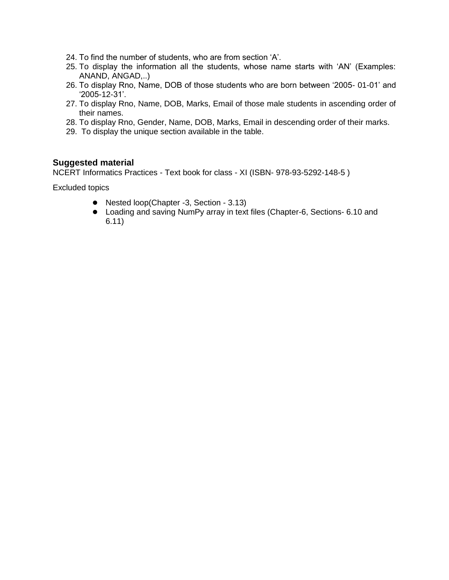- 24. To find the number of students, who are from section 'A'.
- 25. To display the information all the students, whose name starts with 'AN' (Examples: ANAND, ANGAD,..)
- 26. To display Rno, Name, DOB of those students who are born between '2005- 01-01' and '2005-12-31'.
- 27. To display Rno, Name, DOB, Marks, Email of those male students in ascending order of their names.
- 28. To display Rno, Gender, Name, DOB, Marks, Email in descending order of their marks.
- 29. To display the unique section available in the table.

#### **Suggested material**

NCERT Informatics Practices - Text book for class - XI (ISBN- 978-93-5292-148-5 )

Excluded topics

- Nested loop(Chapter -3, Section 3.13)
- Loading and saving NumPy array in text files (Chapter-6, Sections- 6.10 and 6.11)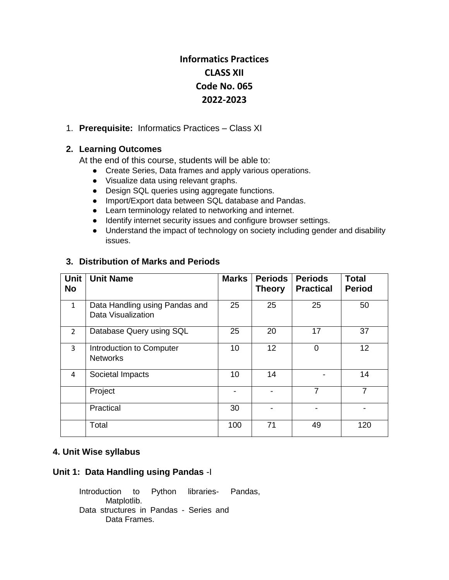# **Informatics Practices CLASS XII Code No. 065 2022-2023**

#### 1. **Prerequisite:** Informatics Practices – Class XI

## **2. Learning Outcomes**

At the end of this course, students will be able to:

- Create Series, Data frames and apply various operations.
- Visualize data using relevant graphs.
- Design SQL queries using aggregate functions.
- Import/Export data between SQL database and Pandas.
- Learn terminology related to networking and internet.
- Identify internet security issues and configure browser settings.
- Understand the impact of technology on society including gender and disability issues.

| Unit<br><b>No</b> | <b>Unit Name</b>                                     | <b>Marks</b> | <b>Periods</b><br><b>Theory</b> | <b>Periods</b><br><b>Practical</b> | <b>Total</b><br><b>Period</b> |
|-------------------|------------------------------------------------------|--------------|---------------------------------|------------------------------------|-------------------------------|
| $\mathbf{1}$      | Data Handling using Pandas and<br>Data Visualization | 25           | 25                              | 25                                 | 50                            |
| $\overline{2}$    | Database Query using SQL                             | 25           | 20                              | 17                                 | 37                            |
| 3                 | Introduction to Computer<br><b>Networks</b>          | 10           | 12                              | 0                                  | 12                            |
| 4                 | Societal Impacts                                     | 10           | 14                              |                                    | 14                            |
|                   | Project                                              |              |                                 | $\overline{7}$                     | 7                             |
|                   | Practical                                            | 30           |                                 |                                    |                               |
|                   | Total                                                | 100          | 71                              | 49                                 | 120                           |

## **3. Distribution of Marks and Periods**

#### **4. Unit Wise syllabus**

## **Unit 1: Data Handling using Pandas** -I

Introduction to Python libraries- Pandas, Matplotlib. Data structures in Pandas - Series and Data Frames.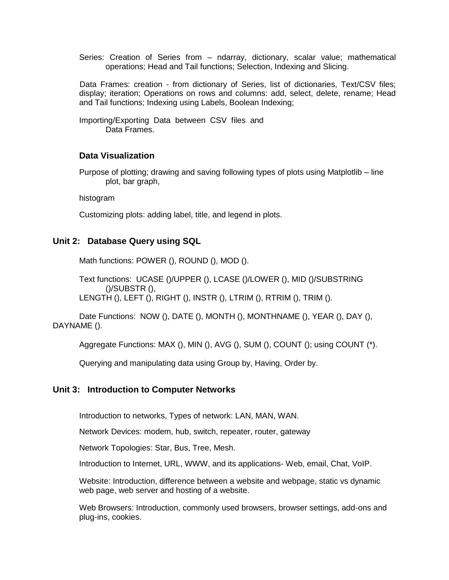Series: Creation of Series from – ndarray, dictionary, scalar value; mathematical operations; Head and Tail functions; Selection, Indexing and Slicing.

 Data Frames: creation - from dictionary of Series, list of dictionaries, Text/CSV files; display; iteration; Operations on rows and columns: add, select, delete, rename; Head and Tail functions; Indexing using Labels, Boolean Indexing;

Importing/Exporting Data between CSV files and Data Frames.

#### **Data Visualization**

Purpose of plotting; drawing and saving following types of plots using Matplotlib – line plot, bar graph,

histogram

Customizing plots: adding label, title, and legend in plots.

#### **Unit 2: Database Query using SQL**

Math functions: POWER (), ROUND (), MOD ().

Text functions: UCASE ()/UPPER (), LCASE ()/LOWER (), MID ()/SUBSTRING ()/SUBSTR (), LENGTH (), LEFT (), RIGHT (), INSTR (), LTRIM (), RTRIM (), TRIM ().

Date Functions: NOW (), DATE (), MONTH (), MONTHNAME (), YEAR (), DAY (), DAYNAME ().

Aggregate Functions: MAX (), MIN (), AVG (), SUM (), COUNT (); using COUNT (\*).

Querying and manipulating data using Group by, Having, Order by.

#### **Unit 3: Introduction to Computer Networks**

Introduction to networks, Types of network: LAN, MAN, WAN.

Network Devices: modem, hub, switch, repeater, router, gateway

Network Topologies: Star, Bus, Tree, Mesh.

Introduction to Internet, URL, WWW, and its applications- Web, email, Chat, VoIP.

Website: Introduction, difference between a website and webpage, static vs dynamic web page, web server and hosting of a website.

Web Browsers: Introduction, commonly used browsers, browser settings, add-ons and plug-ins, cookies.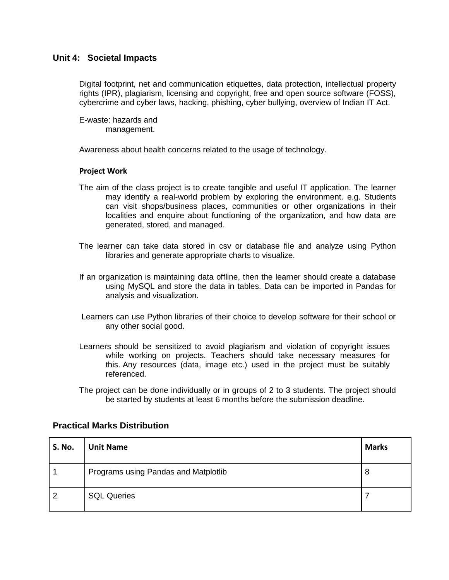#### **Unit 4: Societal Impacts**

Digital footprint, net and communication etiquettes, data protection, intellectual property rights (IPR), plagiarism, licensing and copyright, free and open source software (FOSS), cybercrime and cyber laws, hacking, phishing, cyber bullying, overview of Indian IT Act.

E-waste: hazards and management.

Awareness about health concerns related to the usage of technology.

#### **Project Work**

- The aim of the class project is to create tangible and useful IT application. The learner may identify a real-world problem by exploring the environment. e.g. Students can visit shops/business places, communities or other organizations in their localities and enquire about functioning of the organization, and how data are generated, stored, and managed.
- The learner can take data stored in csv or database file and analyze using Python libraries and generate appropriate charts to visualize.
- If an organization is maintaining data offline, then the learner should create a database using MySQL and store the data in tables. Data can be imported in Pandas for analysis and visualization.
- Learners can use Python libraries of their choice to develop software for their school or any other social good.
- Learners should be sensitized to avoid plagiarism and violation of copyright issues while working on projects. Teachers should take necessary measures for this. Any resources (data, image etc.) used in the project must be suitably referenced.
- The project can be done individually or in groups of 2 to 3 students. The project should be started by students at least 6 months before the submission deadline.

| <b>S. No.</b> | <b>Unit Name</b>                     | <b>Marks</b> |
|---------------|--------------------------------------|--------------|
|               | Programs using Pandas and Matplotlib | 8            |
| 2             | <b>SQL Queries</b>                   |              |

# **Practical Marks Distribution**